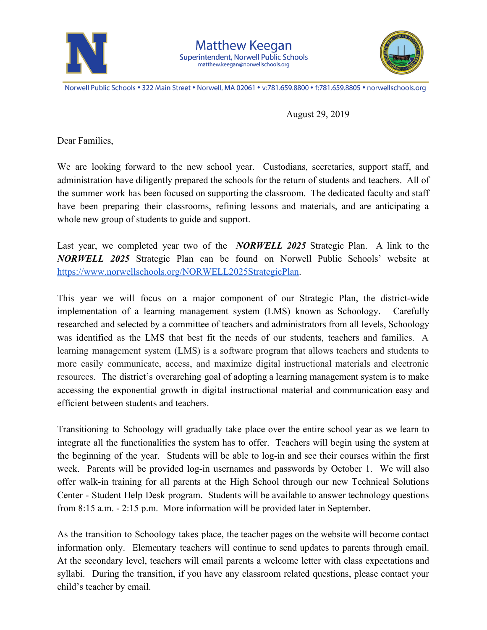



Norwell Public Schools . 322 Main Street . Norwell, MA 02061 . v:781.659.8800 . f:781.659.8805 . norwellschools.org

August 29, 2019

Dear Families,

We are looking forward to the new school year. Custodians, secretaries, support staff, and administration have diligently prepared the schools for the return of students and teachers. All of the summer work has been focused on supporting the classroom. The dedicated faculty and staff have been preparing their classrooms, refining lessons and materials, and are anticipating a whole new group of students to guide and support.

Last year, we completed year two of the *NORWELL 2025* Strategic Plan. A link to the *NORWELL 2025* Strategic Plan can be found on Norwell Public Schools' website at [https://www.norwellschools.org/NORWELL2025StrategicPlan.](https://www.norwellschools.org/NORWELL2025StrategicPlan)

This year we will focus on a major component of our Strategic Plan, the district-wide implementation of a learning management system (LMS) known as Schoology. Carefully researched and selected by a committee of teachers and administrators from all levels, Schoology was identified as the LMS that best fit the needs of our students, teachers and families. A learning management system (LMS) is a software program that allows teachers and students to more easily communicate, access, and maximize digital instructional materials and electronic resources. The district's overarching goal of adopting a learning management system is to make accessing the exponential growth in digital instructional material and communication easy and efficient between students and teachers.

Transitioning to Schoology will gradually take place over the entire school year as we learn to integrate all the functionalities the system has to offer. Teachers will begin using the system at the beginning of the year. Students will be able to log-in and see their courses within the first week. Parents will be provided log-in usernames and passwords by October 1. We will also offer walk-in training for all parents at the High School through our new Technical Solutions Center - Student Help Desk program. Students will be available to answer technology questions from 8:15 a.m. - 2:15 p.m. More information will be provided later in September.

As the transition to Schoology takes place, the teacher pages on the website will become contact information only. Elementary teachers will continue to send updates to parents through email. At the secondary level, teachers will email parents a welcome letter with class expectations and syllabi. During the transition, if you have any classroom related questions, please contact your child's teacher by email.